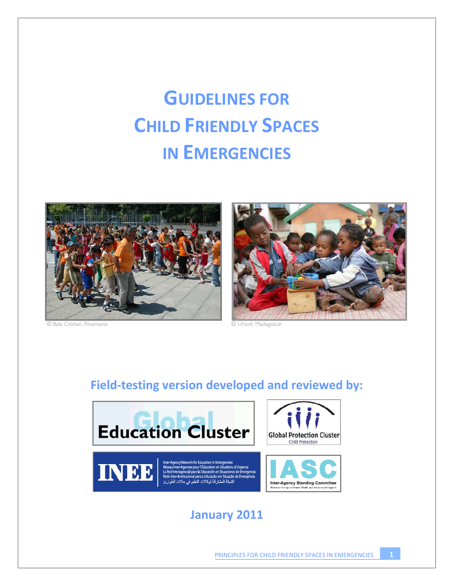# **GUIDELINES FOR CHILD FRIENDLY SPACES IN EMERGENCIES**



© Bala Cristian, Roumania © Unicef, Madagascar



# **Field‐testing version developed and reviewed by:**



# **January 2011**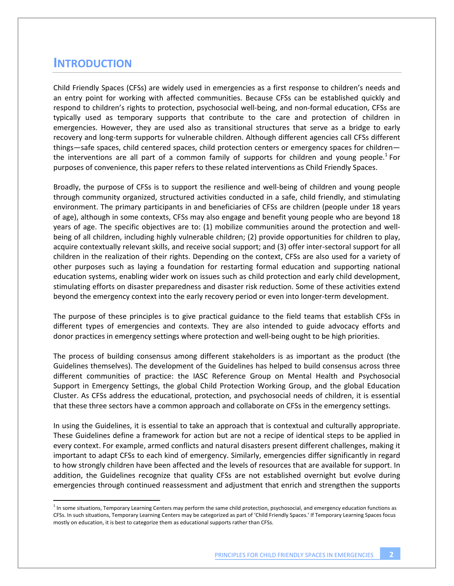## **INTRODUCTION**

Child Friendly Spaces (CFSs) are widely used in emergencies as a first response to children's needs and an entry point for working with affected communities. Because CFSs can be established quickly and respond to children's rights to protection, psychosocial well-being, and non-formal education, CFSs are typically used as temporary supports that contribute to the care and protection of children in emergencies. However, they are used also as transitional structures that serve as a bridge to early recovery and long‐term supports for vulnerable children. Although different agencies call CFSs different things—safe spaces, child centered spaces, child protection centers or emergency spaces for children the interventions are all part of a common family of supports for children and young people.<sup>1</sup> For purposes of convenience, this paper refers to these related interventions as Child Friendly Spaces.

Broadly, the purpose of CFSs is to support the resilience and well‐being of children and young people through community organized, structured activities conducted in a safe, child friendly, and stimulating environment. The primary participants in and beneficiaries of CFSs are children (people under 18 years of age), although in some contexts, CFSs may also engage and benefit young people who are beyond 18 years of age. The specific objectives are to: (1) mobilize communities around the protection and well‐ being of all children, including highly vulnerable children; (2) provide opportunities for children to play, acquire contextually relevant skills, and receive social support; and (3) offer inter‐sectoral support for all children in the realization of their rights. Depending on the context, CFSs are also used for a variety of other purposes such as laying a foundation for restarting formal education and supporting national education systems, enabling wider work on issues such as child protection and early child development, stimulating efforts on disaster preparedness and disaster risk reduction. Some of these activities extend beyond the emergency context into the early recovery period or even into longer-term development.

The purpose of these principles is to give practical guidance to the field teams that establish CFSs in different types of emergencies and contexts. They are also intended to guide advocacy efforts and donor practices in emergency settings where protection and well‐being ought to be high priorities.

The process of building consensus among different stakeholders is as important as the product (the Guidelines themselves). The development of the Guidelines has helped to build consensus across three different communities of practice: the IASC Reference Group on Mental Health and Psychosocial Support in Emergency Settings, the global Child Protection Working Group, and the global Education Cluster. As CFSs address the educational, protection, and psychosocial needs of children, it is essential that these three sectors have a common approach and collaborate on CFSs in the emergency settings.

In using the Guidelines, it is essential to take an approach that is contextual and culturally appropriate. These Guidelines define a framework for action but are not a recipe of identical steps to be applied in every context. For example, armed conflicts and natural disasters present different challenges, making it important to adapt CFSs to each kind of emergency. Similarly, emergencies differ significantly in regard to how strongly children have been affected and the levels of resources that are available for support. In addition, the Guidelines recognize that quality CFSs are not established overnight but evolve during emergencies through continued reassessment and adjustment that enrich and strengthen the supports

 $<sup>1</sup>$  In some situations, Temporary Learning Centers may perform the same child protection, psychosocial, and emergency education functions as</sup> CFSs. In such situations, Temporary Learning Centers may be categorized as part of 'Child Friendly Spaces.' If Temporary Learning Spaces focus mostly on education, it is best to categorize them as educational supports rather than CFSs.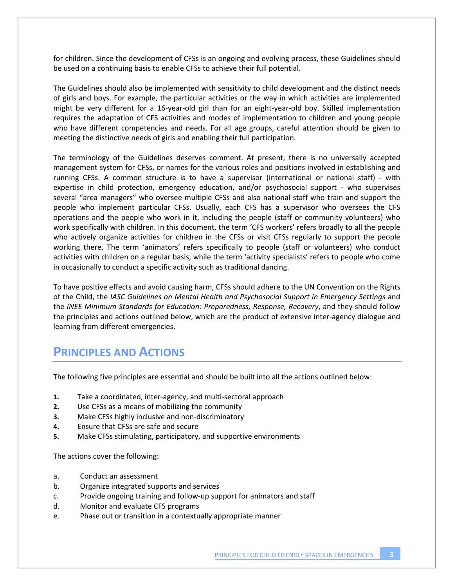for children. Since the development of CFSs is an ongoing and evolving process, these Guidelines should be used on a continuing basis to enable CFSs to achieve their full potential.

The Guidelines should also be implemented with sensitivity to child development and the distinct needs of girls and boys. For example, the particular activities or the way in which activities are implemented might be very different for a 16‐year‐old girl than for an eight‐year‐old boy. Skilled implementation requires the adaptation of CFS activities and modes of implementation to children and young people who have different competencies and needs. For all age groups, careful attention should be given to meeting the distinctive needs of girls and enabling their full participation.

The terminology of the Guidelines deserves comment. At present, there is no universally accepted management system for CFSs, or names for the various roles and positions involved in establishing and running CFSs. A common structure is to have a supervisor (international or national staff) ‐ with expertise in child protection, emergency education, and/or psychosocial support - who supervises several "area managers" who oversee multiple CFSs and also national staff who train and support the people who implement particular CFSs. Usually, each CFS has a supervisor who oversees the CFS operations and the people who work in it, including the people (staff or community volunteers) who work specifically with children. In this document, the term 'CFS workers' refers broadly to all the people who actively organize activities for children in the CFSs or visit CFSs regularly to support the people working there. The term 'animators' refers specifically to people (staff or volunteers) who conduct activities with children on a regular basis, while the term 'activity specialists' refers to people who come in occasionally to conduct a specific activity such as traditional dancing.

To have positive effects and avoid causing harm, CFSs should adhere to the UN Convention on the Rights of the Child, the *IASC Guidelines on Mental Health and Psychosocial Support in Emergency Settings* and the *INEE Minimum Standards for Education: Preparedness, Response, Recovery*, and they should follow the principles and actions outlined below, which are the product of extensive inter‐agency dialogue and learning from different emergencies.

## **PRINCIPLES AND ACTIONS**

The following five principles are essential and should be built into all the actions outlined below:

- **1.** Take a coordinated, inter‐agency, and multi‐sectoral approach
- **2.** Use CFSs as a means of mobilizing the community
- **3.** Make CFSs highly inclusive and non‐discriminatory
- **4.** Ensure that CFSs are safe and secure
- **5.** Make CFSs stimulating, participatory, and supportive environments

The actions cover the following:

- a. Conduct an assessment
- b. Organize integrated supports and services
- c. Provide ongoing training and follow‐up support for animators and staff
- d. Monitor and evaluate CFS programs
- e. Phase out or transition in a contextually appropriate manner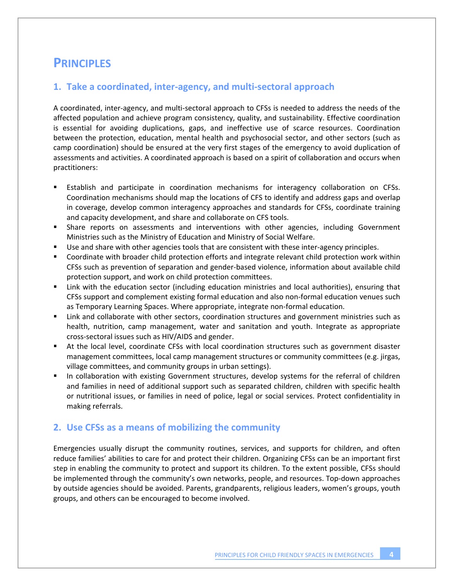## **PRINCIPLES**

#### **1. Take a coordinated, inter‐agency, and multi‐sectoral approach**

A coordinated, inter‐agency, and multi‐sectoral approach to CFSs is needed to address the needs of the affected population and achieve program consistency, quality, and sustainability. Effective coordination is essential for avoiding duplications, gaps, and ineffective use of scarce resources. Coordination between the protection, education, mental health and psychosocial sector, and other sectors (such as camp coordination) should be ensured at the very first stages of the emergency to avoid duplication of assessments and activities. A coordinated approach is based on a spirit of collaboration and occurs when practitioners:

- Establish and participate in coordination mechanisms for interagency collaboration on CFSs. Coordination mechanisms should map the locations of CFS to identify and address gaps and overlap in coverage, develop common interagency approaches and standards for CFSs, coordinate training and capacity development, and share and collaborate on CFS tools.
- Share reports on assessments and interventions with other agencies, including Government Ministries such as the Ministry of Education and Ministry of Social Welfare.
- Use and share with other agencies tools that are consistent with these inter‐agency principles.
- Coordinate with broader child protection efforts and integrate relevant child protection work within CFSs such as prevention of separation and gender‐based violence, information about available child protection support, and work on child protection committees.
- Link with the education sector (including education ministries and local authorities), ensuring that CFSs support and complement existing formal education and also non‐formal education venues such as Temporary Learning Spaces. Where appropriate, integrate non‐formal education.
- **EXECT 1** Link and collaborate with other sectors, coordination structures and government ministries such as health, nutrition, camp management, water and sanitation and youth. Integrate as appropriate cross‐sectoral issues such as HIV/AIDS and gender.
- At the local level, coordinate CFSs with local coordination structures such as government disaster management committees, local camp management structures or community committees (e.g. jirgas, village committees, and community groups in urban settings).
- In collaboration with existing Government structures, develop systems for the referral of children and families in need of additional support such as separated children, children with specific health or nutritional issues, or families in need of police, legal or social services. Protect confidentiality in making referrals.

#### **2. Use CFSs as a means of mobilizing the community**

Emergencies usually disrupt the community routines, services, and supports for children, and often reduce families' abilities to care for and protect their children. Organizing CFSs can be an important first step in enabling the community to protect and support its children. To the extent possible, CFSs should be implemented through the community's own networks, people, and resources. Top-down approaches by outside agencies should be avoided. Parents, grandparents, religious leaders, women's groups, youth groups, and others can be encouraged to become involved.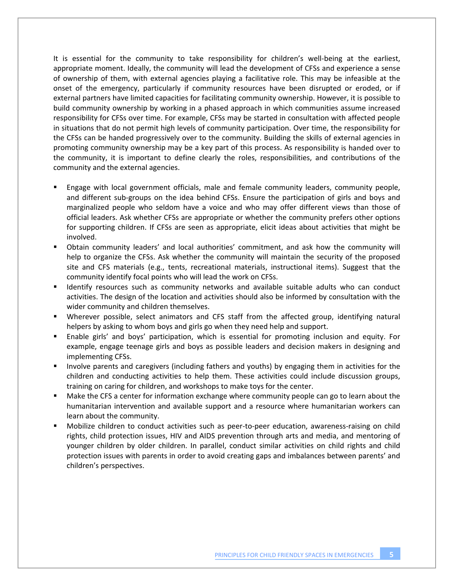It is essential for the community to take responsibility for children's well‐being at the earliest, appropriate moment. Ideally, the community will lead the development of CFSs and experience a sense of ownership of them, with external agencies playing a facilitative role. This may be infeasible at the onset of the emergency, particularly if community resources have been disrupted or eroded, or if external partners have limited capacities for facilitating community ownership. However, it is possible to build community ownership by working in a phased approach in which communities assume increased responsibility for CFSs over time. For example, CFSs may be started in consultation with affected people in situations that do not permit high levels of community participation. Over time, the responsibility for the CFSs can be handed progressively over to the community. Building the skills of external agencies in promoting community ownership may be a key part of this process. As responsibility is handed over to the community, it is important to define clearly the roles, responsibilities, and contributions of the community and the external agencies.

- Engage with local government officials, male and female community leaders, community people, and different sub‐groups on the idea behind CFSs. Ensure the participation of girls and boys and marginalized people who seldom have a voice and who may offer different views than those of official leaders. Ask whether CFSs are appropriate or whether the community prefers other options for supporting children. If CFSs are seen as appropriate, elicit ideas about activities that might be involved.
- Obtain community leaders' and local authorities' commitment, and ask how the community will help to organize the CFSs. Ask whether the community will maintain the security of the proposed site and CFS materials (e.g., tents, recreational materials, instructional items). Suggest that the community identify focal points who will lead the work on CFSs.
- Identify resources such as community networks and available suitable adults who can conduct activities. The design of the location and activities should also be informed by consultation with the wider community and children themselves.
- Wherever possible, select animators and CFS staff from the affected group, identifying natural helpers by asking to whom boys and girls go when they need help and support.
- Enable girls' and boys' participation, which is essential for promoting inclusion and equity. For example, engage teenage girls and boys as possible leaders and decision makers in designing and implementing CFSs.
- Involve parents and caregivers (including fathers and youths) by engaging them in activities for the children and conducting activities to help them. These activities could include discussion groups, training on caring for children, and workshops to make toys for the center.
- Make the CFS a center for information exchange where community people can go to learn about the humanitarian intervention and available support and a resource where humanitarian workers can learn about the community.
- Mobilize children to conduct activities such as peer-to-peer education, awareness-raising on child rights, child protection issues, HIV and AIDS prevention through arts and media, and mentoring of younger children by older children. In parallel, conduct similar activities on child rights and child protection issues with parents in order to avoid creating gaps and imbalances between parents' and children's perspectives.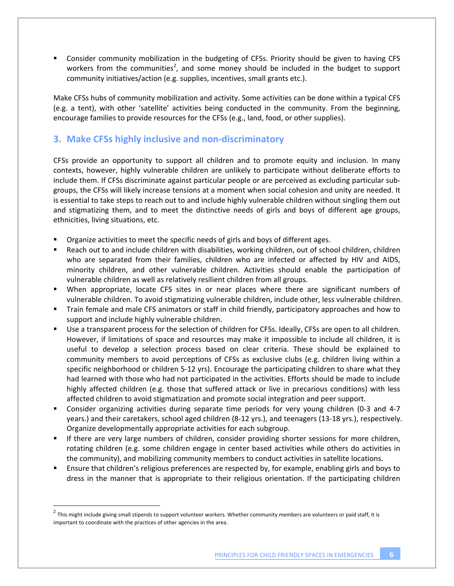Consider community mobilization in the budgeting of CFSs. Priority should be given to having CFS workers from the communities<sup>2</sup>, and some money should be included in the budget to support community initiatives/action (e.g. supplies, incentives, small grants etc.).

Make CFSs hubs of community mobilization and activity. Some activities can be done within a typical CFS (e.g. a tent), with other 'satellite' activities being conducted in the community. From the beginning, encourage families to provide resources for the CFSs (e.g., land, food, or other supplies).

## **3. Make CFSs highly inclusive and non‐discriminatory**

CFSs provide an opportunity to support all children and to promote equity and inclusion. In many contexts, however, highly vulnerable children are unlikely to participate without deliberate efforts to include them. If CFSs discriminate against particular people or are perceived as excluding particular sub‐ groups, the CFSs will likely increase tensions at a moment when social cohesion and unity are needed. It is essential to take steps to reach out to and include highly vulnerable children without singling them out and stigmatizing them, and to meet the distinctive needs of girls and boys of different age groups, ethnicities, living situations, etc.

- Organize activities to meet the specific needs of girls and boys of different ages.
- Reach out to and include children with disabilities, working children, out of school children, children who are separated from their families, children who are infected or affected by HIV and AIDS, minority children, and other vulnerable children. Activities should enable the participation of vulnerable children as well as relatively resilient children from all groups.
- When appropriate, locate CFS sites in or near places where there are significant numbers of vulnerable children. To avoid stigmatizing vulnerable children, include other, less vulnerable children.
- Train female and male CFS animators or staff in child friendly, participatory approaches and how to support and include highly vulnerable children.
- Use a transparent process for the selection of children for CFSs. Ideally, CFSs are open to all children. However, if limitations of space and resources may make it impossible to include all children, it is useful to develop a selection process based on clear criteria. These should be explained to community members to avoid perceptions of CFSs as exclusive clubs (e.g. children living within a specific neighborhood or children 5‐12 yrs). Encourage the participating children to share what they had learned with those who had not participated in the activities. Efforts should be made to include highly affected children (e.g. those that suffered attack or live in precarious conditions) with less affected children to avoid stigmatization and promote social integration and peer support.
- Consider organizing activities during separate time periods for very young children (0-3 and 4-7 years.) and their caretakers, school aged children (8‐12 yrs.), and teenagers (13‐18 yrs.), respectively. Organize developmentally appropriate activities for each subgroup.
- If there are very large numbers of children, consider providing shorter sessions for more children, rotating children (e.g. some children engage in center based activities while others do activities in the community), and mobilizing community members to conduct activities in satellite locations.
- Ensure that children's religious preferences are respected by, for example, enabling girls and boys to dress in the manner that is appropriate to their religious orientation. If the participating children

 $2$  This might include giving small stipends to support volunteer workers. Whether community members are volunteers or paid staff, it is important to coordinate with the practices of other agencies in the area.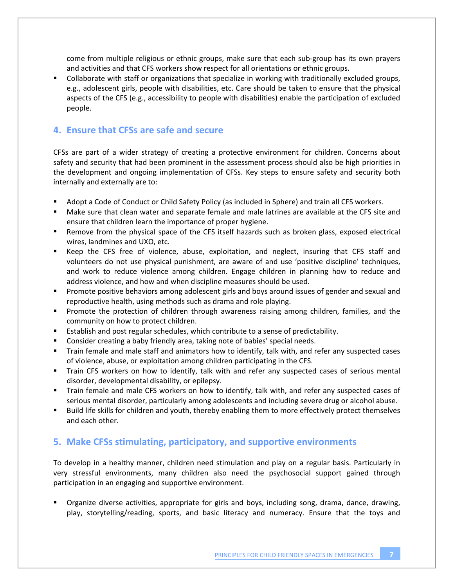come from multiple religious or ethnic groups, make sure that each sub‐group has its own prayers and activities and that CFS workers show respect for all orientations or ethnic groups.

 Collaborate with staff or organizations that specialize in working with traditionally excluded groups, e.g., adolescent girls, people with disabilities, etc. Care should be taken to ensure that the physical aspects of the CFS (e.g., accessibility to people with disabilities) enable the participation of excluded people.

#### **4. Ensure that CFSs are safe and secure**

CFSs are part of a wider strategy of creating a protective environment for children. Concerns about safety and security that had been prominent in the assessment process should also be high priorities in the development and ongoing implementation of CFSs. Key steps to ensure safety and security both internally and externally are to:

- Adopt a Code of Conduct or Child Safety Policy (as included in Sphere) and train all CFS workers.
- Make sure that clean water and separate female and male latrines are available at the CFS site and ensure that children learn the importance of proper hygiene.
- **EXE** Remove from the physical space of the CFS itself hazards such as broken glass, exposed electrical wires, landmines and UXO, etc.
- Keep the CFS free of violence, abuse, exploitation, and neglect, insuring that CFS staff and volunteers do not use physical punishment, are aware of and use 'positive discipline' techniques, and work to reduce violence among children. Engage children in planning how to reduce and address violence, and how and when discipline measures should be used.
- **Promote positive behaviors among adolescent girls and boys around issues of gender and sexual and Stand** reproductive health, using methods such as drama and role playing.
- **Promote the protection of children through awareness raising among children, families, and the** community on how to protect children.
- **Establish and post regular schedules, which contribute to a sense of predictability.**
- **EXP** Consider creating a baby friendly area, taking note of babies' special needs.
- Train female and male staff and animators how to identify, talk with, and refer any suspected cases of violence, abuse, or exploitation among children participating in the CFS.
- Train CFS workers on how to identify, talk with and refer any suspected cases of serious mental disorder, developmental disability, or epilepsy.
- Train female and male CFS workers on how to identify, talk with, and refer any suspected cases of serious mental disorder, particularly among adolescents and including severe drug or alcohol abuse.
- Build life skills for children and youth, thereby enabling them to more effectively protect themselves and each other.

#### **5. Make CFSs stimulating, participatory, and supportive environments**

To develop in a healthy manner, children need stimulation and play on a regular basis. Particularly in very stressful environments, many children also need the psychosocial support gained through participation in an engaging and supportive environment.

 Organize diverse activities, appropriate for girls and boys, including song, drama, dance, drawing, play, storytelling/reading, sports, and basic literacy and numeracy. Ensure that the toys and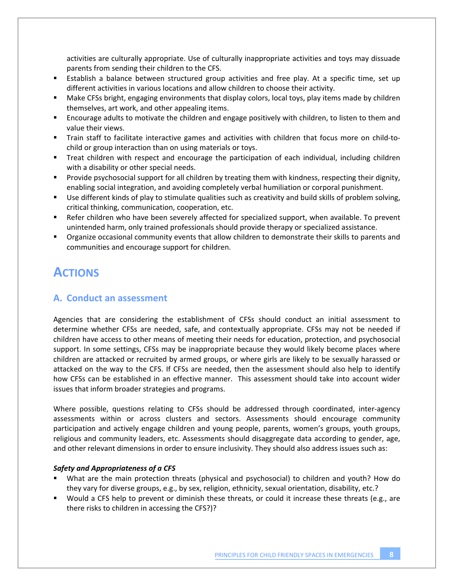activities are culturally appropriate. Use of culturally inappropriate activities and toys may dissuade parents from sending their children to the CFS.

- Establish a balance between structured group activities and free play. At a specific time, set up different activities in various locations and allow children to choose their activity.
- Make CFSs bright, engaging environments that display colors, local toys, play items made by children themselves, art work, and other appealing items.
- Encourage adults to motivate the children and engage positively with children, to listen to them and value their views.
- Train staff to facilitate interactive games and activities with children that focus more on child-tochild or group interaction than on using materials or toys.
- Treat children with respect and encourage the participation of each individual, including children with a disability or other special needs.
- **Provide psychosocial support for all children by treating them with kindness, respecting their dignity,** enabling social integration, and avoiding completely verbal humiliation or corporal punishment.
- Use different kinds of play to stimulate qualities such as creativity and build skills of problem solving, critical thinking, communication, cooperation, etc.
- **EXEL A** Refer children who have been severely affected for specialized support, when available. To prevent unintended harm, only trained professionals should provide therapy or specialized assistance.
- Organize occasional community events that allow children to demonstrate their skills to parents and communities and encourage support for children.

# **ACTIONS**

## **A. Conduct an assessment**

Agencies that are considering the establishment of CFSs should conduct an initial assessment to determine whether CFSs are needed, safe, and contextually appropriate. CFSs may not be needed if children have access to other means of meeting their needs for education, protection, and psychosocial support. In some settings, CFSs may be inappropriate because they would likely become places where children are attacked or recruited by armed groups, or where girls are likely to be sexually harassed or attacked on the way to the CFS. If CFSs are needed, then the assessment should also help to identify how CFSs can be established in an effective manner. This assessment should take into account wider issues that inform broader strategies and programs.

Where possible, questions relating to CFSs should be addressed through coordinated, inter-agency assessments within or across clusters and sectors. Assessments should encourage community participation and actively engage children and young people, parents, women's groups, youth groups, religious and community leaders, etc. Assessments should disaggregate data according to gender, age, and other relevant dimensions in order to ensure inclusivity. They should also address issues such as:

#### *Safety and Appropriateness of a CFS*

- What are the main protection threats (physical and psychosocial) to children and youth? How do they vary for diverse groups, e.g., by sex, religion, ethnicity, sexual orientation, disability, etc.?
- Would a CFS help to prevent or diminish these threats, or could it increase these threats (e.g., are there risks to children in accessing the CFS?)?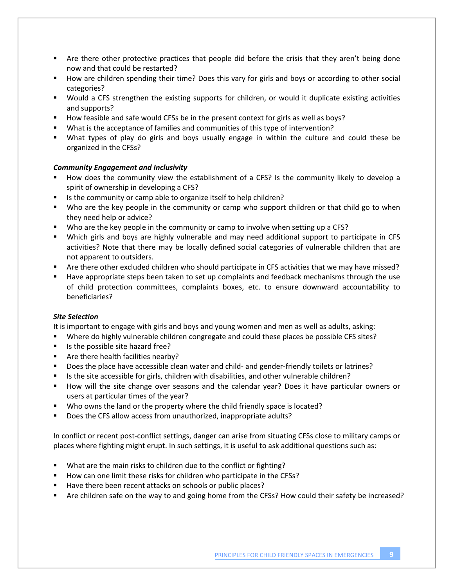- Are there other protective practices that people did before the crisis that they aren't being done now and that could be restarted?
- **How are children spending their time? Does this vary for girls and boys or according to other social** categories?
- Would a CFS strengthen the existing supports for children, or would it duplicate existing activities and supports?
- How feasible and safe would CFSs be in the present context for girls as well as boys?
- What is the acceptance of families and communities of this type of intervention?
- What types of play do girls and boys usually engage in within the culture and could these be organized in the CFSs?

#### *Community Engagement and Inclusivity*

- How does the community view the establishment of a CFS? Is the community likely to develop a spirit of ownership in developing a CFS?
- **IF Its the community or camp able to organize itself to help children?**
- Who are the key people in the community or camp who support children or that child go to when they need help or advice?
- Who are the key people in the community or camp to involve when setting up a CFS?
- Which girls and boys are highly vulnerable and may need additional support to participate in CFS activities? Note that there may be locally defined social categories of vulnerable children that are not apparent to outsiders.
- Are there other excluded children who should participate in CFS activities that we may have missed?
- Have appropriate steps been taken to set up complaints and feedback mechanisms through the use of child protection committees, complaints boxes, etc. to ensure downward accountability to beneficiaries?

#### *Site Selection*

It is important to engage with girls and boys and young women and men as well as adults, asking:

- Where do highly vulnerable children congregate and could these places be possible CFS sites?
- Is the possible site hazard free?
- Are there health facilities nearby?
- Does the place have accessible clean water and child- and gender-friendly toilets or latrines?
- Is the site accessible for girls, children with disabilities, and other vulnerable children?
- **How will the site change over seasons and the calendar year? Does it have particular owners or** users at particular times of the year?
- Who owns the land or the property where the child friendly space is located?
- Does the CFS allow access from unauthorized, inappropriate adults?

In conflict or recent post-conflict settings, danger can arise from situating CFSs close to military camps or places where fighting might erupt. In such settings, it is useful to ask additional questions such as:

- What are the main risks to children due to the conflict or fighting?
- How can one limit these risks for children who participate in the CFSs?
- Have there been recent attacks on schools or public places?
- Are children safe on the way to and going home from the CFSs? How could their safety be increased?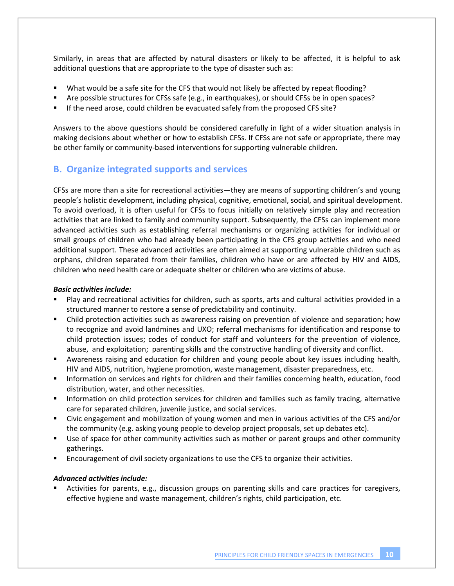Similarly, in areas that are affected by natural disasters or likely to be affected, it is helpful to ask additional questions that are appropriate to the type of disaster such as:

- What would be a safe site for the CFS that would not likely be affected by repeat flooding?
- Are possible structures for CFSs safe (e.g., in earthquakes), or should CFSs be in open spaces?
- If the need arose, could children be evacuated safely from the proposed CFS site?

Answers to the above questions should be considered carefully in light of a wider situation analysis in making decisions about whether or how to establish CFSs. If CFSs are not safe or appropriate, there may be other family or community-based interventions for supporting vulnerable children.

#### **B. Organize integrated supports and services**

CFSs are more than a site for recreational activities—they are means of supporting children's and young people's holistic development, including physical, cognitive, emotional, social, and spiritual development. To avoid overload, it is often useful for CFSs to focus initially on relatively simple play and recreation activities that are linked to family and community support. Subsequently, the CFSs can implement more advanced activities such as establishing referral mechanisms or organizing activities for individual or small groups of children who had already been participating in the CFS group activities and who need additional support. These advanced activities are often aimed at supporting vulnerable children such as orphans, children separated from their families, children who have or are affected by HIV and AIDS, children who need health care or adequate shelter or children who are victims of abuse.

#### *Basic activities include:*

- Play and recreational activities for children, such as sports, arts and cultural activities provided in a structured manner to restore a sense of predictability and continuity.
- Child protection activities such as awareness raising on prevention of violence and separation; how to recognize and avoid landmines and UXO; referral mechanisms for identification and response to child protection issues; codes of conduct for staff and volunteers for the prevention of violence, abuse, and exploitation; parenting skills and the constructive handling of diversity and conflict.
- Awareness raising and education for children and young people about key issues including health, HIV and AIDS, nutrition, hygiene promotion, waste management, disaster preparedness, etc.
- **Information on services and rights for children and their families concerning health, education, food** distribution, water, and other necessities.
- **Information on child protection services for children and families such as family tracing, alternative** care for separated children, juvenile justice, and social services.
- Civic engagement and mobilization of young women and men in various activities of the CFS and/or the community (e.g. asking young people to develop project proposals, set up debates etc).
- **Use of space for other community activities such as mother or parent groups and other community** gatherings.
- Encouragement of civil society organizations to use the CFS to organize their activities.

#### *Advanced activities include:*

 Activities for parents, e.g., discussion groups on parenting skills and care practices for caregivers, effective hygiene and waste management, children's rights, child participation, etc.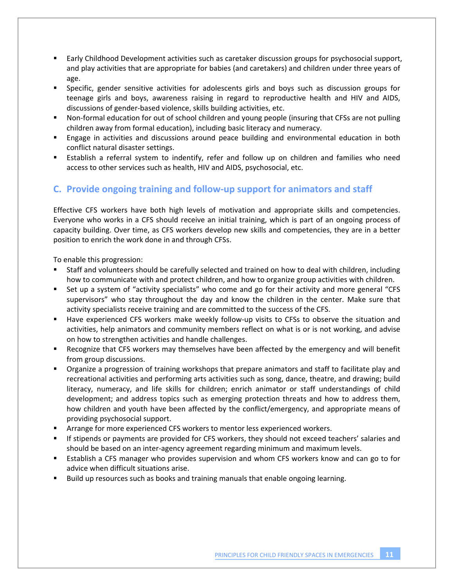- Early Childhood Development activities such as caretaker discussion groups for psychosocial support, and play activities that are appropriate for babies (and caretakers) and children under three years of age.
- **Specific, gender sensitive activities for adolescents girls and boys such as discussion groups for** teenage girls and boys, awareness raising in regard to reproductive health and HIV and AIDS, discussions of gender‐based violence, skills building activities, etc.
- Non-formal education for out of school children and young people (insuring that CFSs are not pulling children away from formal education), including basic literacy and numeracy.
- Engage in activities and discussions around peace building and environmental education in both conflict natural disaster settings.
- Establish a referral system to indentify, refer and follow up on children and families who need access to other services such as health, HIV and AIDS, psychosocial, etc.

## **C. Provide ongoing training and follow‐up support for animators and staff**

Effective CFS workers have both high levels of motivation and appropriate skills and competencies. Everyone who works in a CFS should receive an initial training, which is part of an ongoing process of capacity building. Over time, as CFS workers develop new skills and competencies, they are in a better position to enrich the work done in and through CFSs.

To enable this progression:

- Staff and volunteers should be carefully selected and trained on how to deal with children, including how to communicate with and protect children, and how to organize group activities with children.
- Set up a system of "activity specialists" who come and go for their activity and more general "CFS supervisors" who stay throughout the day and know the children in the center. Make sure that activity specialists receive training and are committed to the success of the CFS.
- Have experienced CFS workers make weekly follow-up visits to CFSs to observe the situation and activities, help animators and community members reflect on what is or is not working, and advise on how to strengthen activities and handle challenges.
- Recognize that CFS workers may themselves have been affected by the emergency and will benefit from group discussions.
- Organize a progression of training workshops that prepare animators and staff to facilitate play and recreational activities and performing arts activities such as song, dance, theatre, and drawing; build literacy, numeracy, and life skills for children; enrich animator or staff understandings of child development; and address topics such as emerging protection threats and how to address them, how children and youth have been affected by the conflict/emergency, and appropriate means of providing psychosocial support.
- Arrange for more experienced CFS workers to mentor less experienced workers.
- If stipends or payments are provided for CFS workers, they should not exceed teachers' salaries and should be based on an inter‐agency agreement regarding minimum and maximum levels.
- Establish a CFS manager who provides supervision and whom CFS workers know and can go to for advice when difficult situations arise.
- Build up resources such as books and training manuals that enable ongoing learning.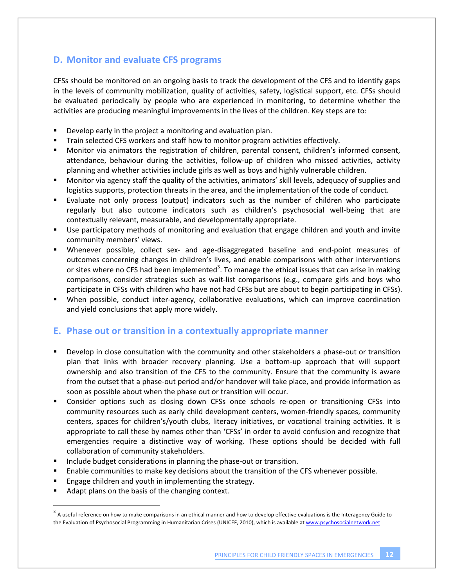## **D. Monitor and evaluate CFS programs**

CFSs should be monitored on an ongoing basis to track the development of the CFS and to identify gaps in the levels of community mobilization, quality of activities, safety, logistical support, etc. CFSs should be evaluated periodically by people who are experienced in monitoring, to determine whether the activities are producing meaningful improvements in the lives of the children. Key steps are to:

- **Develop early in the project a monitoring and evaluation plan.**
- Train selected CFS workers and staff how to monitor program activities effectively.
- Monitor via animators the registration of children, parental consent, children's informed consent, attendance, behaviour during the activities, follow-up of children who missed activities, activity planning and whether activities include girls as well as boys and highly vulnerable children.
- Monitor via agency staff the quality of the activities, animators' skill levels, adequacy of supplies and logistics supports, protection threats in the area, and the implementation of the code of conduct.
- Evaluate not only process (output) indicators such as the number of children who participate regularly but also outcome indicators such as children's psychosocial well‐being that are contextually relevant, measurable, and developmentally appropriate.
- Use participatory methods of monitoring and evaluation that engage children and youth and invite community members' views.
- Whenever possible, collect sex- and age-disaggregated baseline and end-point measures of outcomes concerning changes in children's lives, and enable comparisons with other interventions or sites where no CFS had been implemented<sup>3</sup>. To manage the ethical issues that can arise in making comparisons, consider strategies such as wait‐list comparisons (e.g., compare girls and boys who participate in CFSs with children who have not had CFSs but are about to begin participating in CFSs).
- When possible, conduct inter-agency, collaborative evaluations, which can improve coordination and yield conclusions that apply more widely.

#### **E. Phase out or transition in a contextually appropriate manner**

- Develop in close consultation with the community and other stakeholders a phase-out or transition plan that links with broader recovery planning. Use a bottom‐up approach that will support ownership and also transition of the CFS to the community. Ensure that the community is aware from the outset that a phase‐out period and/or handover will take place, and provide information as soon as possible about when the phase out or transition will occur.
- Consider options such as closing down CFSs once schools re-open or transitioning CFSs into community resources such as early child development centers, women‐friendly spaces, community centers, spaces for children's/youth clubs, literacy initiatives, or vocational training activities. It is appropriate to call these by names other than 'CFSs' in order to avoid confusion and recognize that emergencies require a distinctive way of working. These options should be decided with full collaboration of community stakeholders.
- Include budget considerations in planning the phase‐out or transition.
- Enable communities to make key decisions about the transition of the CFS whenever possible.
- Engage children and youth in implementing the strategy.
- Adapt plans on the basis of the changing context.

 $3\overline{)}$  A useful reference on how to make comparisons in an ethical manner and how to develop effective evaluations is the Interagency Guide to the Evaluation of Psychosocial Programming in Humanitarian Crises (UNICEF, 2010), which is available at www.psychosocialnetwork.net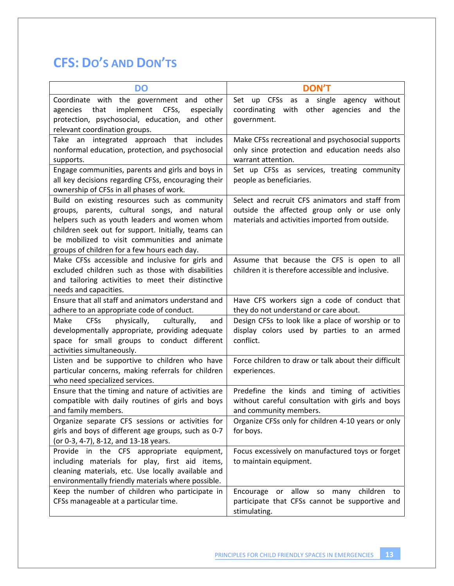# **CFS: DO'S AND DON'TS**

| <b>DO</b>                                                                                                                                                                                                                                                                                             | <b>DON'T</b>                                                                                                                                      |
|-------------------------------------------------------------------------------------------------------------------------------------------------------------------------------------------------------------------------------------------------------------------------------------------------------|---------------------------------------------------------------------------------------------------------------------------------------------------|
| Coordinate with the government and other<br>implement<br>that<br>CFSs,<br>agencies<br>especially<br>protection, psychosocial, education, and other<br>relevant coordination groups.                                                                                                                   | CFSs as<br>a single<br>agency without<br>Set<br>up<br>other agencies and the<br>coordinating with<br>government.                                  |
| Take an integrated approach that includes<br>nonformal education, protection, and psychosocial<br>supports.                                                                                                                                                                                           | Make CFSs recreational and psychosocial supports<br>only since protection and education needs also<br>warrant attention.                          |
| Engage communities, parents and girls and boys in<br>all key decisions regarding CFSs, encouraging their<br>ownership of CFSs in all phases of work.                                                                                                                                                  | Set up CFSs as services, treating community<br>people as beneficiaries.                                                                           |
| Build on existing resources such as community<br>groups, parents, cultural songs, and natural<br>helpers such as youth leaders and women whom<br>children seek out for support. Initially, teams can<br>be mobilized to visit communities and animate<br>groups of children for a few hours each day. | Select and recruit CFS animators and staff from<br>outside the affected group only or use only<br>materials and activities imported from outside. |
| Make CFSs accessible and inclusive for girls and<br>excluded children such as those with disabilities<br>and tailoring activities to meet their distinctive<br>needs and capacities.                                                                                                                  | Assume that because the CFS is open to all<br>children it is therefore accessible and inclusive.                                                  |
| Ensure that all staff and animators understand and<br>adhere to an appropriate code of conduct.                                                                                                                                                                                                       | Have CFS workers sign a code of conduct that<br>they do not understand or care about.                                                             |
| <b>CFSs</b><br>Make<br>physically,<br>culturally,<br>and<br>developmentally appropriate, providing adequate<br>space for small groups to conduct different<br>activities simultaneously.                                                                                                              | Design CFSs to look like a place of worship or to<br>display colors used by parties to an armed<br>conflict.                                      |
| Listen and be supportive to children who have<br>particular concerns, making referrals for children<br>who need specialized services.                                                                                                                                                                 | Force children to draw or talk about their difficult<br>experiences.                                                                              |
| Ensure that the timing and nature of activities are<br>compatible with daily routines of girls and boys<br>and family members.                                                                                                                                                                        | Predefine the kinds and timing of activities<br>without careful consultation with girls and boys<br>and community members.                        |
| Organize separate CFS sessions or activities for<br>girls and boys of different age groups, such as 0-7<br>(or 0-3, 4-7), 8-12, and 13-18 years.                                                                                                                                                      | Organize CFSs only for children 4-10 years or only<br>for boys.                                                                                   |
| Provide in the CFS appropriate equipment,<br>including materials for play, first aid items,<br>cleaning materials, etc. Use locally available and<br>environmentally friendly materials where possible.                                                                                               | Focus excessively on manufactured toys or forget<br>to maintain equipment.                                                                        |
| Keep the number of children who participate in<br>CFSs manageable at a particular time.                                                                                                                                                                                                               | Encourage or allow so many children to<br>participate that CFSs cannot be supportive and<br>stimulating.                                          |